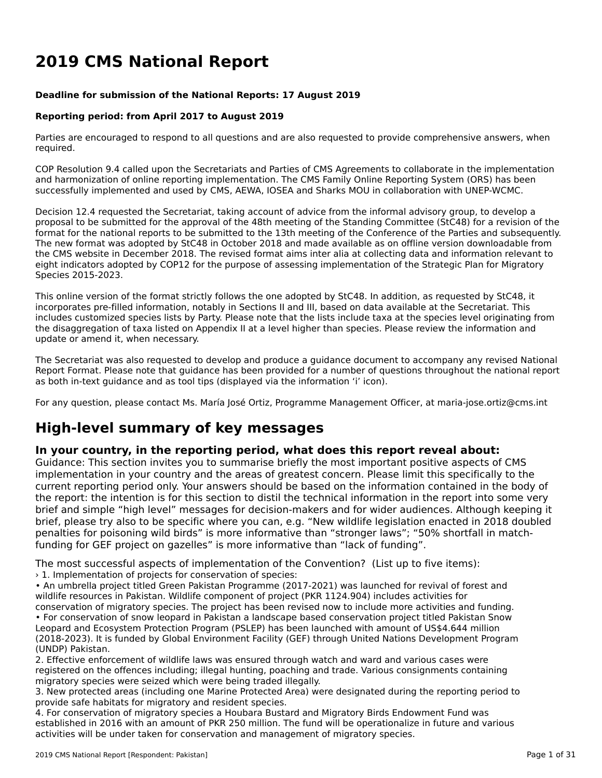# **2019 CMS National Report**

#### **Deadline for submission of the National Reports: 17 August 2019**

#### **Reporting period: from April 2017 to August 2019**

Parties are encouraged to respond to all questions and are also requested to provide comprehensive answers, when required.

COP Resolution 9.4 called upon the Secretariats and Parties of CMS Agreements to collaborate in the implementationand harmonization of online reporting implementation. The CMS Family Online Reporting System (ORS) has been successfully implemented and used by CMS, AEWA, IOSEA and Sharks MOU in collaboration with UNEP-WCMC.

Decision 12.4 requested the Secretariat, taking account of advice from the informal advisory group, to develop a proposal to be submitted for the approval of the 48th meeting of the Standing Committee (StC48) for a revision of the format for the national reports to be submitted to the 13th meeting of the Conference of the Parties and subsequently. The new format was adopted by StC48 in October 2018 and made available as on offline version downloadable from the CMS website in December 2018. The revised format aims inter alia at collecting data and information relevant to eight indicators adopted by COP12 for the purpose of assessing implementation of the Strategic Plan for Migratory Species 2015-2023.

This online version of the format strictly follows the one adopted by StC48. In addition, as requested by StC48, it incorporates pre-filled information, notably in Sections II and III, based on data available at the Secretariat. This includes customized species lists by Party. Please note that the lists include taxa at the species level originating from the disaggregation of taxa listed on Appendix II at a level higher than species. Please review the information and update or amend it, when necessary.

The Secretariat was also requested to develop and produce a guidance document to accompany any revised National The Secretariat was also requested to develop and produce a guidance document to accompany any revised National<br>Report Format. Please note that guidance has been provided for a number of questions throughout the national r as both in-text guidance and as tool tips (displayed via the information 'i' icon).

For any question, please contact Ms. María José Ortiz, Programme Management Officer, at maria-jose.ortiz@cms.int

# **High-level summary of key messages**

### **In your country, in the reporting period, what does this report reveal about:**

In your country, in the reporting period, what does this report revear about.<br>Guidance: This section invites you to summarise briefly the most important positive aspects of CMS implementation in your country and the areas of greatest concern. Please limit this specifically to the reprementation in your country and the areas or greatest content. Frease limit this specifically to the<br>current reporting period only. Your answers should be based on the information contained in the body of brief and simple "high level" messages for decision-makers and for wider audiences. Although keeping itbrief, plus simple tright level messages for decision-makers and for where addenies. Although New Wildlife legislation enacted in 2018 doubled penalties for poisoning wild birds" is more informative than "stronger laws"; "50% shortfall in matchfunding for GEF project on gazelles" is more informative than "lack of funding".

The most successful aspects of implementation of the Convention? (List up to five items):

› 1. Implementation of projects for conservation of species:

• An umbrella project titled Green Pakistan Programme (2017-2021) was launched for revival of forest and wildlife resources in Pakistan. Wildlife component of project (PKR 1124.904) includes activities for conservation of migratory species. The project has been revised now to include more activities and funding.• For conservation of snow leopard in Pakistan a landscape based conservation project titled Pakistan Snow Leopard and Ecosystem Protection Program (PSLEP) has been launched with amount of US\$4.644 million (2018-2023). It is funded by Global Environment Facility (GEF) through United Nations Development Program (UNDP) Pakistan.

2. Effective enforcement of wildlife laws was ensured through watch and ward and various cases were 2. Effective emorgement of whalle laws was ensured through watch and ward and various cases were<br>registered on the offences including; illegal hunting, poaching and trade. Various consignments containing registered on the onences including, megar numing, poaching an<br>migratory species were seized which were being traded illegally.

Inigratory species were selzed which were being traded megany.<br>3. New protected areas (including one Marine Protected Area) were designated during the reporting period to provide safe habitats for migratory and resident species.

provide sare nabitats for migratory and resident species.<br>4. For conservation of migratory species a Houbara Bustard and Migratory Birds Endowment Fund was established in 2016 with an amount of PKR 250 million. The fund will be operationalize in future and various activities will be under taken for conservation and management of migratory species.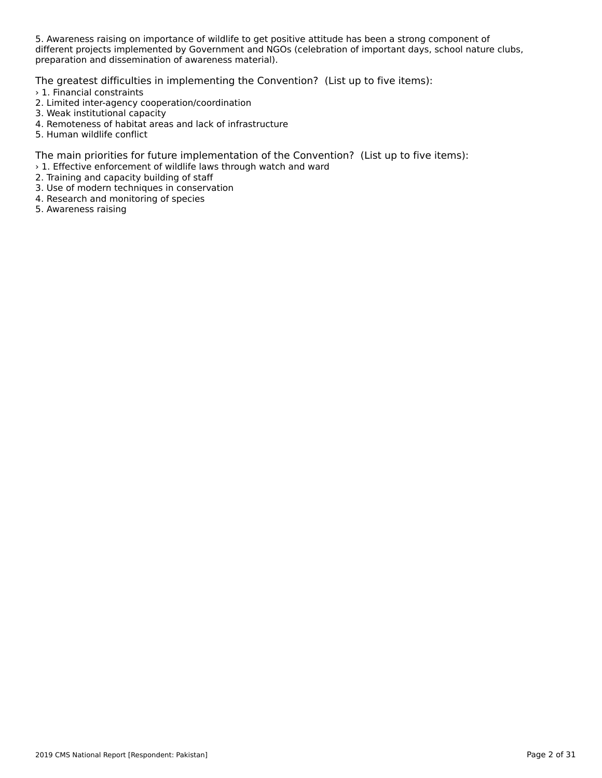5. Awareness raising on importance of wildlife to get positive attitude has been a strong component of different projects implemented by Government and NGOs (celebration of important days, school nature clubs, amerent projects implemented by Government and NG<br>preparation and dissemination of awareness material).

The greatest difficulties in implementing the Convention? (List up to five items):

- › 1. Financial constraints
- 2. Limited inter-agency cooperation/coordination
- 2. Emmed inter-agency coope<br>3. Weak institutional capacity
- 4. Remoteness of habitat areas and lack of infrastructure
- 4. Remoteness or nabitat<br>5. Human wildlife conflict

The main priorities for future implementation of the Convention? (List up to five items):

- › 1. Effective enforcement of wildlife laws through watch and ward
- 2. Training and capacity building of staff<br>2. Training and capacity building of staff
- 3. Use of modern techniques in conservation
- 3. Ose of modern techniques in conser<br>4. Research and monitoring of species
- 4. Research and mon<br>5. Awareness raising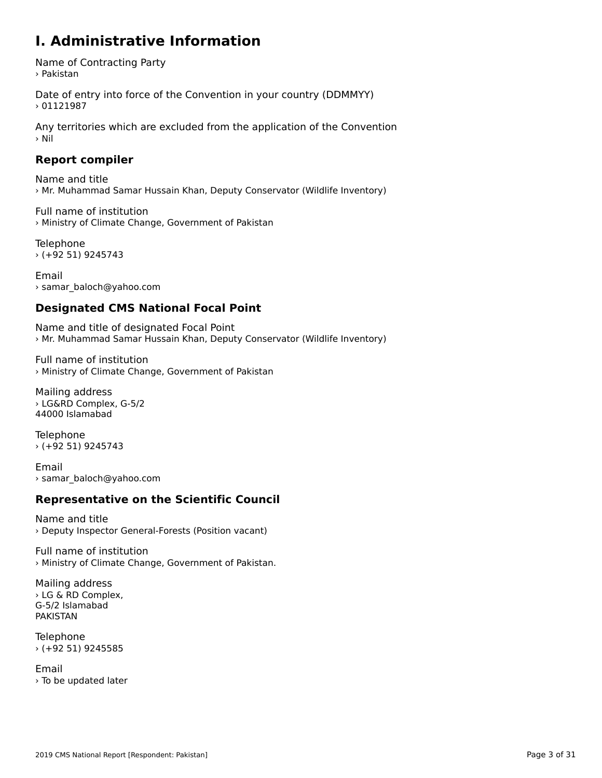### **I. Administrative Information**

Name of Contracting Party › Pakistan

Date of entry into force of the Convention in your country (DDMMYY)  $>01121987$ 

Any territories which are excluded from the application of the Convention › Nil

### **Report compiler**

Name and title › Mr. Muhammad Samar Hussain Khan, Deputy Conservator (Wildlife Inventory)

Full name of institution › Ministry of Climate Change, Government of Pakistan

Telephone › (+92 51) 9245743

Email› samar\_baloch@yahoo.com

### **Designated CMS National Focal Point**

Name and title of designated Focal Point › Mr. Muhammad Samar Hussain Khan, Deputy Conservator (Wildlife Inventory)

Full name of institution› Ministry of Climate Change, Government of Pakistan

Mailing address › LG&RD Complex, G-5/2 44000 Islamabad

Telephone › (+92 51) 9245743

Email› samar\_baloch@yahoo.com

### **Representative on the Scientific Council**

Name and title› Deputy Inspector General-Forests (Position vacant)

Full name of institution › Ministry of Climate Change, Government of Pakistan.

Mailing address › LG & RD Complex, G-5/2 Islamabad PAKISTAN

Telephone › (+92 51) 9245585

Email› To be updated later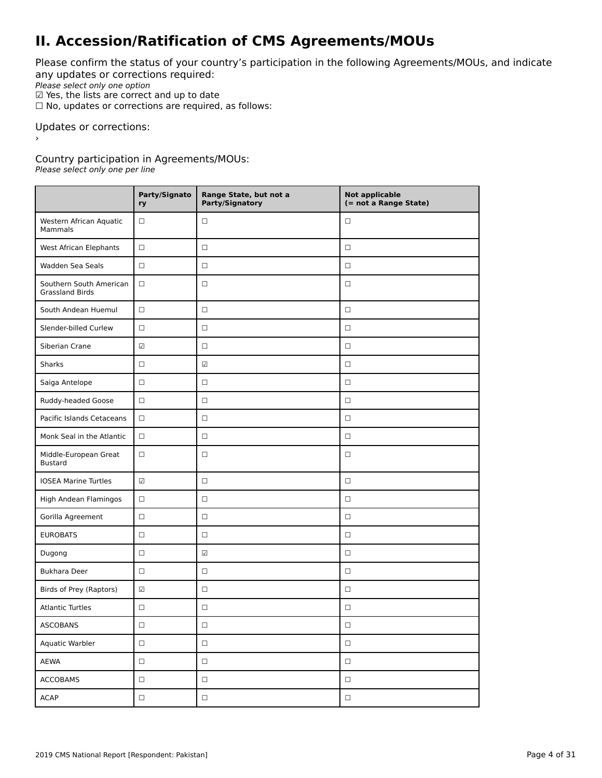## **II. Accession/Ratification of CMS Agreements/MOUs**

Please confirm the status of your country's participation in the following Agreements/MOUs, and indicate any updates or corrections required:

any apaaces of correctiv<br>Please select only one option

 $\Psi$  Yes, the lists are correct and up to date<br> $\Psi$  Yes, the lists are correct and up to date

 $\Box$  No, updates or corrections are required, as follows:

Updates or corrections:

Country participation in Agreements/MOUs:

Please select only one per line

|                                                   | Party/Signato<br>ry      | Range State, but not a<br>Party/Signatory | <b>Not applicable</b><br>(= not a Range State) |
|---------------------------------------------------|--------------------------|-------------------------------------------|------------------------------------------------|
| Western African Aquatic<br>Mammals                | □                        | $\Box$                                    | $\Box$                                         |
| West African Elephants                            | $\Box$                   | $\Box$                                    | $\Box$                                         |
| Wadden Sea Seals                                  | $\Box$                   | $\Box$                                    | $\Box$                                         |
| Southern South American<br><b>Grassland Birds</b> | $\Box$                   | $\Box$                                    | $\Box$                                         |
| South Andean Huemul                               | $\Box$                   | $\Box$                                    | $\Box$                                         |
| Slender-billed Curlew                             | $\Box$                   | $\Box$                                    | $\Box$                                         |
| Siberian Crane                                    | $\overline{\mathcal{L}}$ | $\Box$                                    | $\Box$                                         |
| <b>Sharks</b>                                     | □                        | $\overline{\omega}$                       | $\Box$                                         |
| Saiga Antelope                                    | □                        | $\Box$                                    | $\Box$                                         |
| Ruddy-headed Goose                                | $\Box$                   | $\Box$                                    | $\Box$                                         |
| Pacific Islands Cetaceans                         | $\Box$                   | $\Box$                                    | $\Box$                                         |
| Monk Seal in the Atlantic                         | $\Box$                   | $\Box$                                    | $\Box$                                         |
| Middle-European Great<br><b>Bustard</b>           | $\Box$                   | $\Box$                                    | $\Box$                                         |
| <b>IOSEA Marine Turtles</b>                       | $\overline{\mathcal{L}}$ | $\Box$                                    | $\Box$                                         |
| High Andean Flamingos                             | $\Box$                   | $\Box$                                    | $\Box$                                         |
| Gorilla Agreement                                 | $\Box$                   | $\Box$                                    | $\Box$                                         |
| <b>EUROBATS</b>                                   | □                        | $\Box$                                    | □                                              |
| Dugong                                            | □                        | $\overline{\mathcal{L}}$                  | $\Box$                                         |
| <b>Bukhara Deer</b>                               | $\Box$                   | $\Box$                                    | $\Box$                                         |
| Birds of Prey (Raptors)                           | $\overline{\mathcal{L}}$ | $\Box$                                    | $\Box$                                         |
| <b>Atlantic Turtles</b>                           | □                        | $\Box$                                    | $\Box$                                         |
| <b>ASCOBANS</b>                                   | $\Box$                   | $\Box$                                    | $\Box$                                         |
| Aquatic Warbler                                   | $\Box$                   | $\Box$                                    | $\Box$                                         |
| AEWA                                              | $\Box$                   | $\Box$                                    | $\Box$                                         |
| <b>ACCOBAMS</b>                                   | $\Box$                   | $\Box$                                    | $\Box$                                         |
| <b>ACAP</b>                                       | $\Box$                   | $\Box$                                    | $\Box$                                         |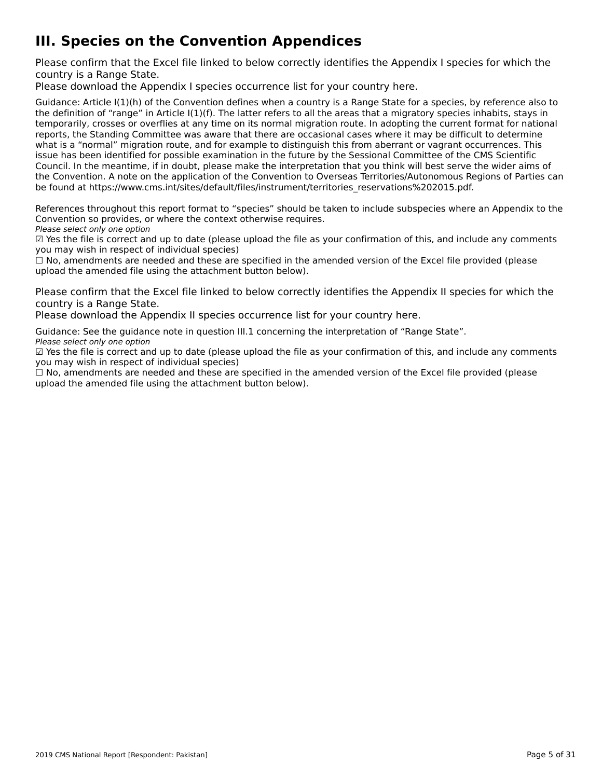# **III. Species on the Convention Appendices**

Please confirm that the Excel file linked to below correctly identifies the Appendix I species for which the

Please download the Appendix I species occurrence list for your country [here](http://tinyurl.com/y3yendbg).

Guidance: Article I(1)(h) of the Convention defines when a country is a Range State for a species, by reference also to the definition of "range" in Article I(1)(f). The latter refers to all the areas that a migratory species inhabits, stays in the deminion of Tange in Article ((1)(1). The facter felers to an the areas that a migratory species imfabits, stays in<br>temporarily, crosses or overflies at any time on its normal migration route. In adopting the current f reports, the Standing Committee was aware that there are occasional cases where it may be difficult to determine what is a "normal" migration route, and for example to distinguish this from aberrant or vagrant occurrences. This what is a "hormal" migration route, and for example to distinguish this nonraberrant or vagrant occurrences. Th<br>issue has been identified for possible examination in the future by the Sessional Committee of the CMS Scienti Council. In the meantime, if in doubt, please make the interpretation that you think will best serve the wider aims of the Convention. A note on the application of the Convention to Overseas Territories/Autonomous Regions of Parties can the convention. A note on the application of the convention to Overseas Territories/Adtonomous Re<br>be found at https://www.cms.int/sites/default/files/instrument/territories\_reservations%202015.pdf.

References throughout this report format to "species" should be taken to include subspecies where an Appendix to the References unbugnout this report format to "species" should be t<br>Convention so provides, or where the context otherwise requires.

Please select only one option

☑ Yes the file is correct and up to date (please upload the file as your confirmation of this, and include any comments $\Xi$  ies the nie is correct and up to date (please<br>you may wish in respect of individual species)

you may wish in respect of mulvidual species)<br>□ No, amendments are needed and these are specified in the amended version of the Excel file provided (please  $\square$  ivo, amendments are needed and these are specified in the<br>upload the amended file using the attachment button below).

Please confirm that the Excel file linked to below correctly identifies the Appendix II species for which the

Please download the Appendix II species occurrence list for your country [here](http://tinyurl.com/y3yendbg).

Guidance: See the guidance note in question III.1 concerning the interpretation of "Range State". Please select only one option

Please select only one option<br>☑ Yes the file is correct and up to date (please upload the file as your confirmation of this, and include any comments you may wish in respect of individual species)

☐ No, amendments are needed and these are specified in the amended version of the Excel file provided (please upload the amended file using the attachment button below).upload the amended file using the attachment button below).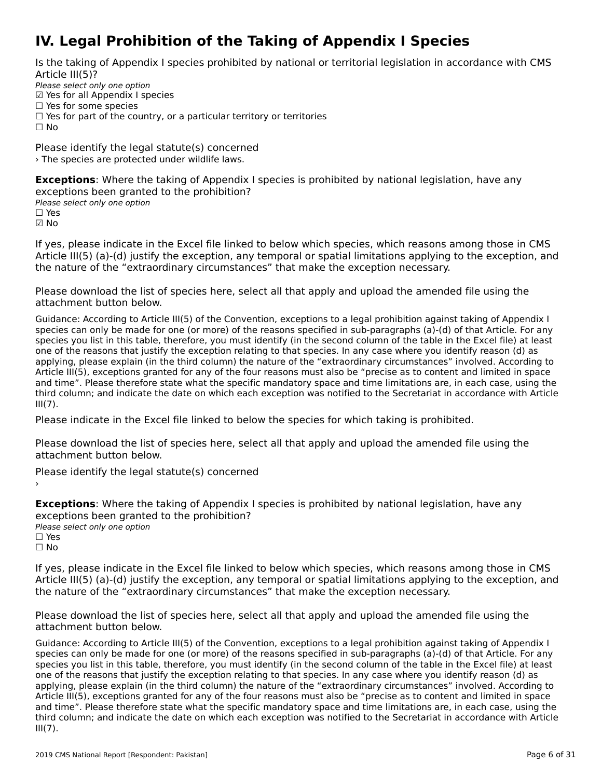# **IV. Legal Prohibition of the Taking of Appendix I Species**

Is the taking of Appendix I species prohibited by national or territorial legislation in accordance with CMS

Please select only one option Prease select only one option<br>☑ Yes for all Appendix I species  $\Box$  Yes for some species □ Tes for some species<br>□ Yes for part of the country, or a particular territory or territories  $\Box$  No

Please identify the legal statute(s) concerned› The species are protected under wildlife laws.

**Exceptions**: Where the taking of Appendix I species is prohibited by national legislation, have any exceptions been granted to the prohibition?<br>Please select only one option ☐ Yes☑ No

If yes, please indicate in the Excel file linked to below which species, which reasons among those in CMS Article III(5) (a)-(d) justify the exception, any temporal or spatial limitations applying to the exception, and the nature of the "extraordinary circumstances" that make the exception necessary.

Please download the list of species [here](http://tinyurl.com/y66dcyte), select all that apply and upload the amended file using the attachment button below.

Guidance: According to Article III(5) of the Convention, exceptions to a legal prohibition against taking of Appendix I species can only be made for one (or more) of the reasons specified in sub-paragraphs (a)-(d) of that Article. For any species can only be made for one (or more) or the reasons specified in sub-paragraphs (a)-(u) or that Article. For any<br>species you list in this table, therefore, you must identify (in the second column of the table in the species you ust in this table, therefore, you must identify (in the second column of the table in the Excernie) at le<br>one of the reasons that justify the exception relating to that species. In any case where you identify r applying, please explain (in the third column) the nature of the "extraordinary circumstances" involved. According to Article III(5), exceptions granted for any of the four reasons must also be "precise as to content and limited in space and time". Please therefore state what the specific mandatory space and time limitations are, in each case, using the and time. The ase therefore state what the specific manuatory space and time immetions are, in each case, using the<br>third column; and indicate the date on which each exception was notified to the Secretariat in accordance  $III(7)$ .

Please indicate in the Excel file linked to below the species for which taking is prohibited.

Please download the list of species [here](http://tinyurl.com/y4drhzs6), select all that apply and upload the amended file using the attachment button below.

Please identify the legal statute(s) concerned

**Exceptions**: Where the taking of Appendix I species is prohibited by national legislation, have any exceptions been granted to the prohibition?**Please select only one option** □ Yes<br>□ No

If yes, please indicate in the Excel file linked to below which species, which reasons among those in CMS n yes, please indicate in the Exception, any temporal or spatial limitations applying to the exception, and<br>Article III(5) (a)-(d) justify the exception, any temporal or spatial limitations applying to the exception, and the nature of the "extraordinary circumstances" that make the exception necessary.

Please download the list of species [here](http://tinyurl.com/y66dcyte), select all that apply and upload the amended file using the attachment button below.

Guidance: According to Article III(5) of the Convention, exceptions to a legal prohibition against taking of Appendix I species can only be made for one (or more) of the reasons specified in sub-paragraphs (a)-(d) of that Article. For any species can only be made for one (or more) or the reasons specified in sub-paragraphs (a)-(u) or that Article. For any<br>species you list in this table, therefore, you must identify (in the second column of the table in the species you ust in this table, therefore, you must identify (in the second column of the table in the Excernie) at le<br>one of the reasons that justify the exception relating to that species. In any case where you identify r applying, please explain (in the third column) the nature of the "extraordinary circumstances" involved. According to Article III(5), exceptions granted for any of the four reasons must also be "precise as to content and limited in space and time". Please therefore state what the specific mandatory space and time limitations are, in each case, using the and time. The ase therefore state what the specific manuatory space and time immetions are, in each case, using the<br>third column; and indicate the date on which each exception was notified to the Secretariat in accordance  $III(7)$ .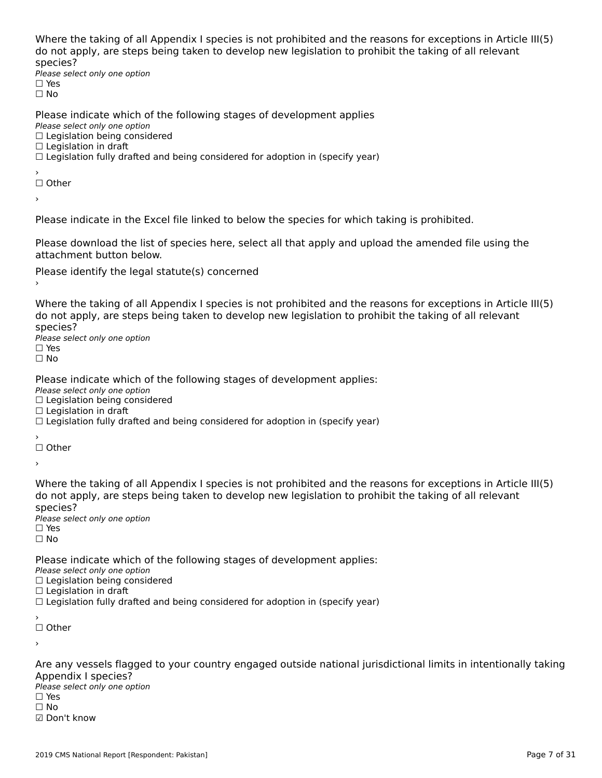Where the taking of all Appendix I species is not prohibited and the reasons for exceptions in Article III(5) where the taxing of an Appendix I species is not prombited and the reasons for exceptions in Articli<br>do not apply, are steps being taken to develop new legislation to prohibit the taking of all relevant

⊃peete∋.<br>Please select only one option □ Yes<br>□ No

Please indicate which of the following stages of development applies

ricase marcate winch o<br>Please select only one option *riease select only one option*<br>□ Legislation being considered

□ Legislation being c<br>□ Legislation in draft

□ Legislation in drait<br>□ Legislation fully drafted and being considered for adoption in (specify year)

′<br>□ Other

›

Please indicate in the Excel file linked to below the species for which taking is prohibited.

Please download the list of species [here](http://tinyurl.com/y4drhzs6), select all that apply and upload the amended file using the attachment button below.

Please identify the legal statute(s) concerned

Where the taking of all Appendix I species is not prohibited and the reasons for exceptions in Article III(5) an increase the steps being taken to develop new legislation to promint the taking or all relevant

⊃peete∋.<br>Please select only one option □ Yes<br>□ No

Please indicate which of the following stages of development applies:

ricase marcate winch o<br>Please select only one option *riease select only one option*<br>□ Legislation being considered

□ Legislation being c<br>□ Legislation in draft

□ Legislation in drait<br>□ Legislation fully drafted and being considered for adoption in (specify year)

′<br>□ Other

›

Where the taking of all Appendix I species is not prohibited and the reasons for exceptions in Article III(5)<br>de not apply, are stans being taken to develop new legislation to probibit the taking of all relevants about apply, are steps being taken to develop new legislation to promint the taking or all relevant

⊃peete∋.<br>Please select only one option  $\square$  Yes ים וכ<br>⊡ No

Please indicate which of the following stages of development applies:

. **Lease mareate which b**<br>Please select only one option

☐ Legislation being considered□ Legislation being c<br>□ Legislation in draft

□ Legislation in drait<br>□ Legislation fully drafted and being considered for adoption in (specify year)

☐ Other

›

Are any vessels flagged to your country engaged outside national jurisdictional limits in intentionally taking<br>Appendix Langgias? ∩ppenances.<br>Please select only one option  $\square$  Yes ☐ No☑ Don't know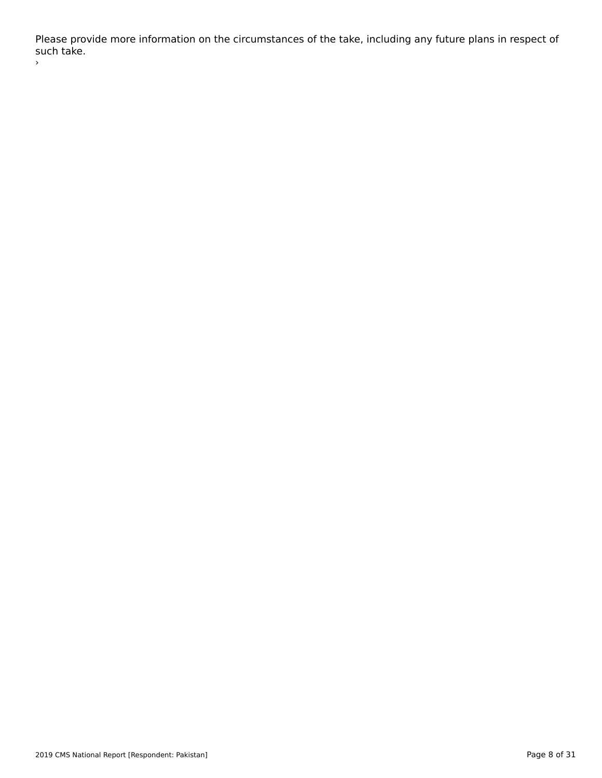Please provide more information on the circumstances of the take, including any future plans in respect of r rease pro<br>such take. ›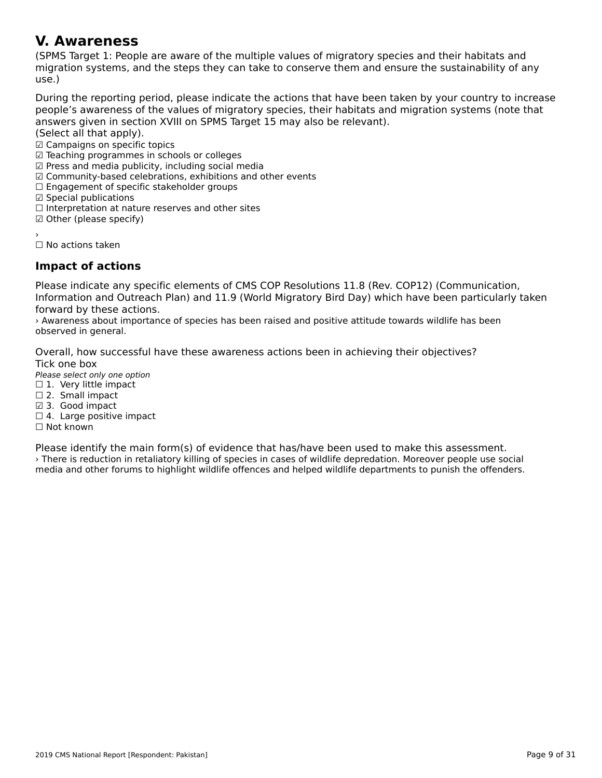#### **V. Awareness**

(SPMS Target 1: People are aware of the multiple values of migratory species and their habitats and וסו הארצונארט וואס ומירוכן, anyet I. Feople are aware of the multiple values of migratory species and them habitats and<br>migration systems, and the steps they can take to conserve them and ensure the sustainability of any use.)

During the reporting period, please indicate the actions that have been taken by your country to increase people's aware liess of the Valley of Highatoly species, their happens and implation systems (note that

answers given in secul<br>(Select all that apply).

(Select all that apply).<br>☑ Campaigns on specific topics

☑ Teaching programmes in schools or colleges

☑ Press and media publicity, including social media

- ⊠ Fress and media publicity, including social media<br>☑ Community-based celebrations, exhibitions and other events
- ⊠ Community-based celebrations, exmoltions<br>□ Engagement of specific stakeholder groups

□ Engagement or spec<br>☑ Special publications

☐ Interpretation at nature reserves and other sites

□ interpretation at natur<br>☑ Other (please specify)

☐ No actions taken

### **Impact of actions**

Please indicate any specific elements of CMS COP Resolutions 11.8 (Rev. COP12) (Communication,<br>Information and Outreach Plan) and 11.9 (World Migratory Bird Day) which have been particularly taken mormation and Outleath Flah) and II.5 (World Migratory Bird Day) which have been particularly taken.<br>forward by these forward by these actions.

› Awareness about importance of species has been raised and positive attitude towards wildlife has been *r* Awareness about in<br>observed in general.

Overall, how successful have these awareness actions been in achieving their objectives? Overall, HOW<br>Tick on a box

∩ence sone<br>Please select only one option

 $\Box$  1. Very little impact

□ 1. very ntue ming ☑ 3. Good impact

□ 5. Oood impact<br>□ 4. Large positive impact

Please identify the main form(s) of evidence that has/have been used to make this assessment. › There is reduction in retaliatory killing of species in cases of wildlife depredation. Moreover people use social media and other forums to highlight wildlife offences and helped wildlife departments to punish the offenders.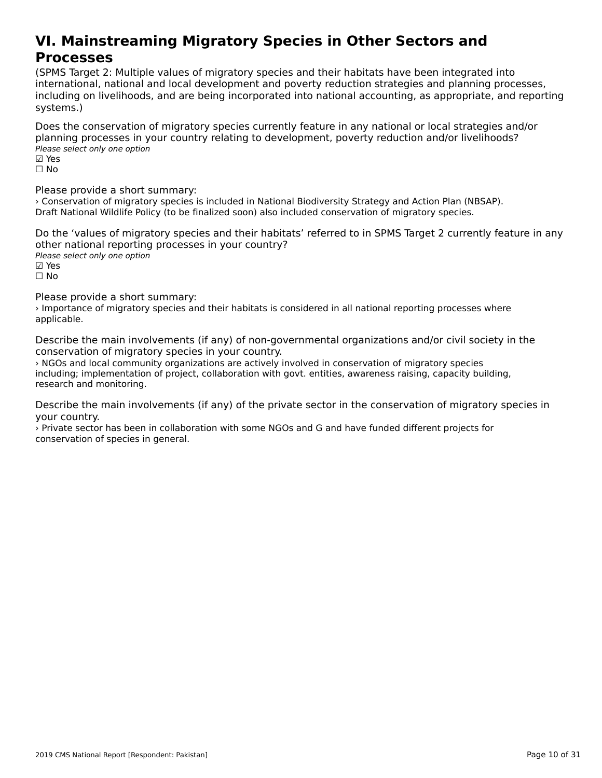#### **VI. Mainstreaming Migratory Species in Other Sectors andProcesses**<br>Processes **Processes**

(SPMS Target 2: Multiple values of migratory species and their habitats have been integrated into international, national and local development and poverty reduction strategies and planning processes, incernational, hational and local development and poverty reduction strategies and planning processes,<br>including on livelihoods, and are being incorporated into national accounting, as appropriate, and reporting systems.)

Does the conservation of migratory species currently feature in any national or local strategies and/or planning processes in your country relating to development, poverty reduction and/or livelihoods? pianning processes in y<br>Please select only one option

⊠ Yes<br>□ No

Please provide a short summary:

› Conservation of migratory species is included in National Biodiversity Strategy and Action Plan (NBSAP). Draft National Wildlife Policy (to be finalized soon) also included conservation of migratory species.

Do the 'values of migratory species and their habitats' referred to in SPMS Target 2 currently feature in any other national reporting processes in your country? Please select only one option

☑ Yes

☐ No

Please provide a short summary:

› Importance of migratory species and their habitats is considered in all national reporting processes where *r* mportant<br>applicable.

Describe the main involvements (if any) of non-governmental organizations and/or civil society in the conservation of migratory species in your country.

› NGOs and local community organizations are actively involved in conservation of migratory species including; implementation of project, collaboration with govt. entities, awareness raising, capacity building, mcluding, implementation<br>research and monitoring.

Describe the main involvements (if any) of the private sector in the conservation of migratory species in your country.

your country.<br>> Private sector has been in collaboration with some NGOs and G and have funded different projects for conservation of species in general.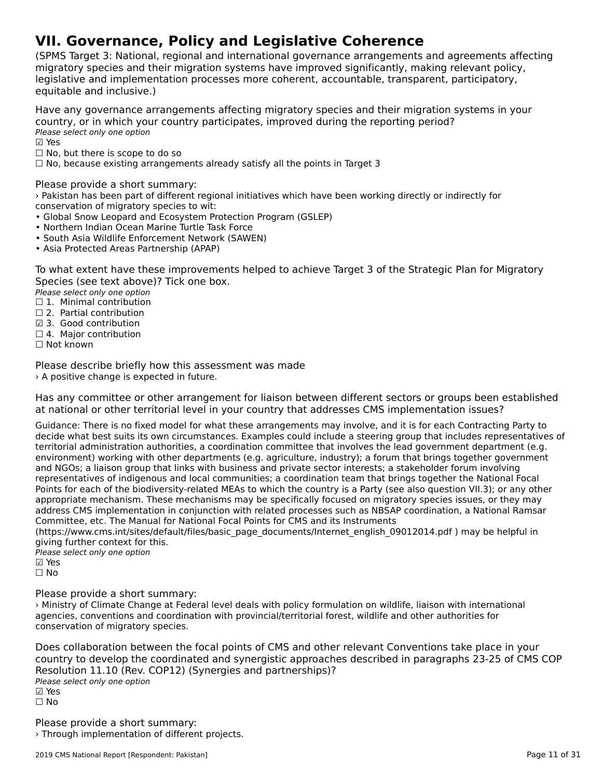# **VII. Governance, Policy and Legislative Coherence**

(SPMS Target 3: National, regional and international governance arrangements and agreements affecting migratory species and their migration systems have improved significantly, making relevant policy, lingratory species and their migration systems nave improved significantly, making relevant polic<sub>i</sub><br>legislative and implementation processes more coherent, accountable, transparent, participatory, equitable and inclusive.)

Have any governance arrangements affecting migratory species and their migration systems in your country, or in which your country participates, improved during the reporting period? country, or m wmcn you<br>Please select only one option

⊠ Yes

 $\Box$  No, but there is scope to do so

□ No, but there is scope to do so<br>□ No, because existing arrangements already satisfy all the points in Target 3

Please provide a short summary:

› Pakistan has been part of different regional initiatives which have been working directly or indirectly for conservation of migratory species to wit:

- Global Snow Leopard and Ecosystem Protection Program (GSLEP)
- Giobar Show Leopard and Ecosystem Frotection<br>• Northern Indian Ocean Marine Turtle Task Force
- Nothern maian Ocean Manne Tartie Task Force<br>• South Asia Wildlife Enforcement Network (SAWEN)
- Asia Protected Areas Partnership (APAP)

To what extent have these improvements helped to achieve Target 3 of the Strategic Plan for Migratory Species (see text above)? Tick one box.

**Please select only one option** 

*riease select only one option*<br>□ 1. Minimal contribution

□ 1. Infirmal contribution<br>□ 2. Partial contribution ☑ 3. Good contribution

⊡ 5. Good contribution<br>□ 4. Major contribution

Please describe briefly how this assessment was made › A positive change is expected in future.

Has any committee or other arrangement for liaison between different sectors or groups been established rias any committee or other arrangement for naison between unferent sectors or groups been t<br>at national or other territorial level in your country that addresses CMS implementation issues?

Guidance: There is no fixed model for what these arrangements may involve, and it is for each Contracting Party todecide what best suits its own circumstances. Examples could include a steering group that includes representatives of territorial administration authorities, a coordination committee that involves the lead government department (e.g. environment) working with other departments (e.g. agriculture, industry); a forum that brings together government environment, working with other departments (e.g. agriculture, mudstry), a forum that brings together governme<br>and NGOs; a liaison group that links with business and private sector interests; a stakeholder forum involving representatives of indigenous and local communities; a coordination team that brings together the National Focal Points for each of the biodiversity-related MEAs to which the country is a Party (see also question VII.3); or any other appropriate mechanism. These mechanisms may be specifically focused on migratory species issues, or they may appropriate mechanism. These mechanisms may be specifically focused on imigratory species issues, or they may<br>address CMS implementation in conjunction with related processes such as NBSAP coordination, a National Ramsar Committee, etc. The Manual for National Focal Points for CMS and its Instruments

(https://www.cms.int/sites/default/files/basic\_page\_documents/Internet\_english\_09012014.pdf ) may be helpful in giving further context for this.

giving further concext for t<br>Please select only one option ⊠ Yes ☐ No

Please provide a short summary:

Ministry of Climate Change at Federal level deals with policy formulation on wildlife, liaison with international agencies, conventions and coordination with provincial/territorial forest, wildlife and other authorities for agencies, conventions and coorum<br>conservation of migratory species.

Does collaboration between the focal points of CMS and other relevant Conventions take place in your<br>country to develop the coordinated and synemiatic approaches described in paragraphs 23-25 of CMS COP country to develop the coordinated and synergistic approaches described in paragraphs 23-25 of CMS COP Resolution 11.10 (Rev. COP12) (Synergies and partnerships)? Please select only one option ☑ Yes⊠ Yes<br>□ No

Please provide a short summary: › Through implementation of different projects.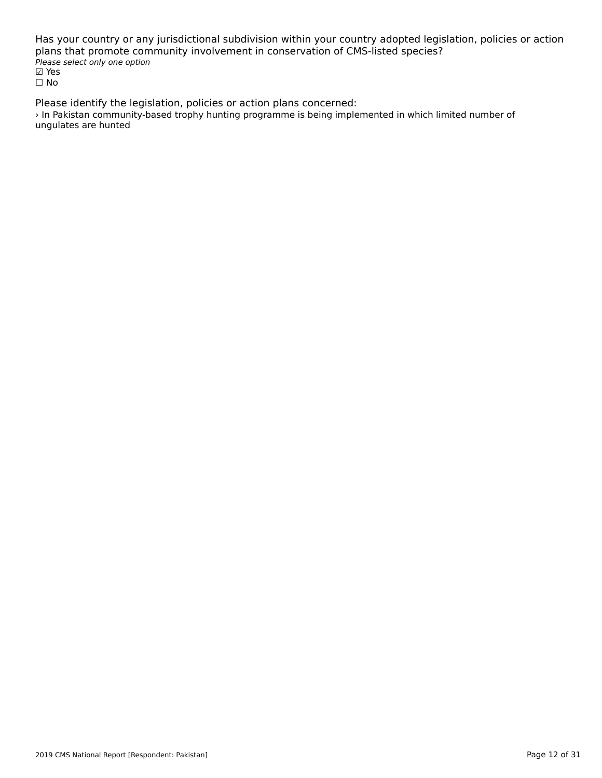Has your country or any jurisdictional subdivision within your country adopted legislation, policies or action plans that promote community involvement in conservation of CMS-listed species? Please select only one option riease<br>☑ Yes ☐ No

Please identify the legislation, policies or action plans concerned: › In Pakistan community-based trophy hunting programme is being implemented in which limited number of *r* in rakistan commun<br>ungulates are hunted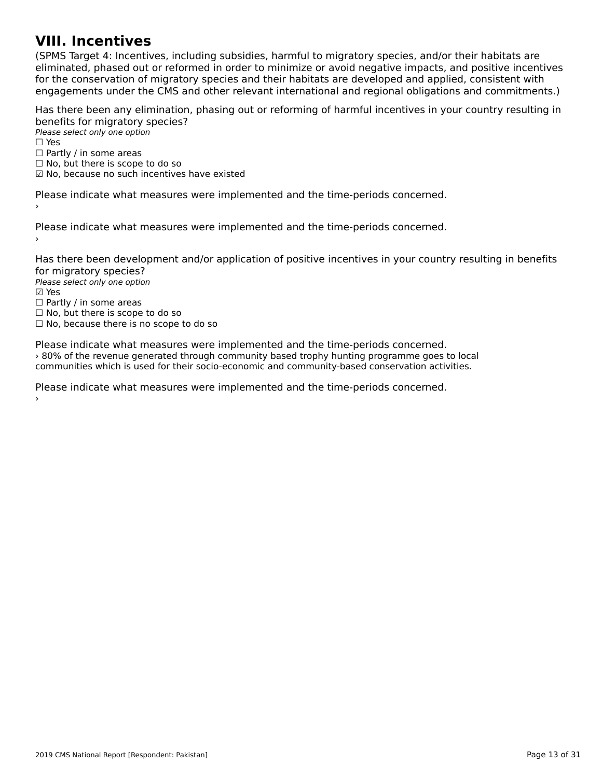#### **VIII. Incentives**

(SPMS Target 4: Incentives, including subsidies, harmful to migratory species, and/or their habitats are eliminated, phased out or reformed in order to minimize or avoid negative impacts, and positive incentiveseliminated, phased out or reformed in order to minimize or avoid negative impacts, and positive incentives eminiaced, phased out of reformed in order to minimize or avoid negative impacts, and positive incenti<br>for the conservation of migratory species and their habitats are developed and applied, consistent with engagements under the CMS and other relevant international and regional obligations and commitments.)

Has there been any elimination, phasing out or reforming of harmful incentives in your country resulting in benefits for migratory species?

Please select only one option rıease<br>□ Yes

□ Partly / in some areas

□ Fartly / iii some areas<br>□ No, but there is scope to do so

□ No, but there is scope to do so<br>☑ No, because no such incentives have existed

Please indicate what measures were implemented and the time-periods concerned.

Please indicate what measures were implemented and the time-periods concerned.

Has there been development and/or application of positive incentives in your country resulting in benefits for migratory species? ror ringratory spectes.<br>Please select only one option

riease<br>☑ Yes ☐ Partly / in some areas □ Fartly / iii some areas<br>□ No, but there is scope to do so □ No, but there is scope to do so<br>□ No, because there is no scope to do so

Please indicate what measures were implemented and the time-periods concerned. › 80% of the revenue generated through community based trophy hunting programme goes to local communities which is used for their socio-economic and community-based conservation activities.

Please indicate what measures were implemented and the time-periods concerned.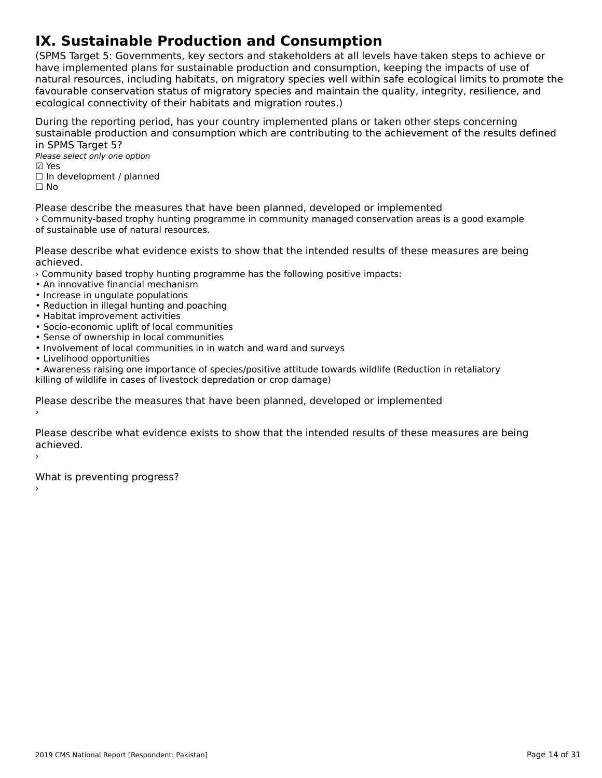# **IX. Sustainable Production and Consumption**

(SPMS Target 5: Governments, key sectors and stakeholders at all levels have taken steps to achieve or have implemented plans for sustainable production and consumption, keeping the impacts of use of natural resources, including habitats, on migratory species well within safe ecological limits to promote the favourable conservation status of migratory species and maintain the quality, integrity, resilience, and ecological connectivity of their habitats and migration routes.)

During the reporting period, has your country implemented plans or taken other steps concerning sustainable production and consumption which are contributing to the achievement of the results defined in SPMS Target 5?in SPMS Target 5?

Please select only one option ☑ Yes☐ In development / planned ☐ No

Please describe the measures that have been planned, developed or implemented › Community-based trophy hunting programme in community managed conservation areas is a good example of sustainable use of natural resources.

Please describe what evidence exists to show that the intended results of these measures are being

- › Community based trophy hunting programme has the following positive impacts:
- An innovative financial mechanism
- An importance infinition inecritains
- Increase in ungulate populations<br>• Reduction in illegal hunting and poaching
- Reduction in megal numing and<br>• Habitat improvement activities
- Socio-economic uplift of local communities
- Sense of ownership in local communities
- Involvement of local communities in in watch and ward and surveys
- Livelihood opportunities

• Awareness raising one importance of species/positive attitude towards wildlife (Reduction in retaliatory killing of wildlife in cases of livestock depredation or crop damage)

Please describe the measures that have been planned, developed or implemented

Please describe what evidence exists to show that the intended results of these measures are being achieved.›

What is preventing progress?

2019 CMS National Report [Respondent: Pakistan]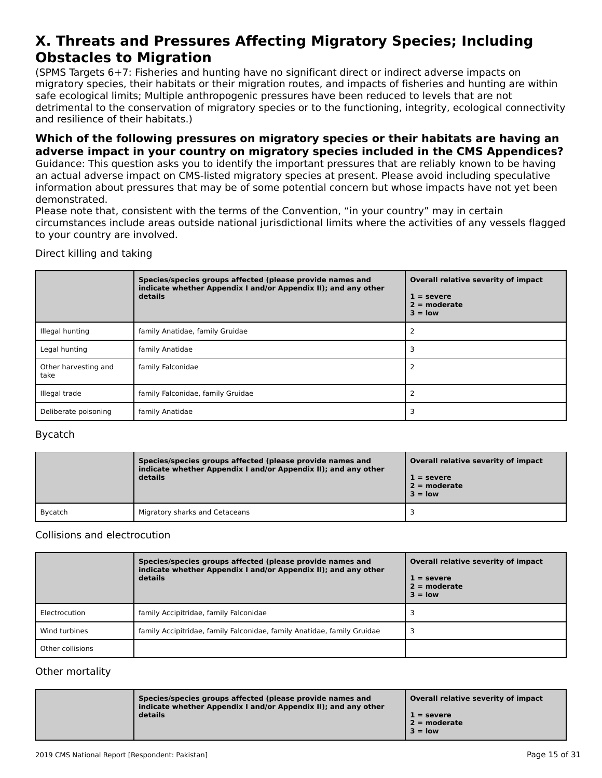#### **X. Threats and Pressures Affecting Migratory Species; Including Obstacles to MigrationObstacles to Migration**

(SPMS Targets 6+7: Fisheries and hunting have no significant direct or indirect adverse impacts onוסו כאיראכן, וואס הארטייט וואס ומילכל וואס הארטייט ווערכל מסיפור וואס מארטייט ווערכל מסיפור וואס מארטייט ווערכ<br>migratory species, their habitats or their migration routes, and impacts of fisheries and hunting are within migratory species, their nabitats of their migration routes, and impacts or ilsheries and numing a<br>safe ecological limits; Multiple anthropogenic pressures have been reduced to levels that are not sale ecological limits, Multiple antihopogenic pressures have been reduced to levels that are not<br>detrimental to the conservation of migratory species or to the functioning, integrity, ecological connectivity and resilience of their habitats.)

#### **Which of the following pressures on migratory species or their habitats are having an adverse impact in your country on migratory species included in the CMS Appendices?**

Guidance: This question asks you to identify the important pressures that are reliably known to be having an actual adverse impact on CMS-listed migratory species at present. Please avoid including speculative an actual auverse impact on civis-listed migratory species at present. Flease avoid including speculative<br>information about pressures that may be of some potential concern but whose impacts have not yet been demonstrated.

Please note that, consistent with the terms of the Convention, "in your country" may in certain circumstances include areas outside national jurisdictional limits where the activities of any vessels flagged ch curristances include areas<br>to your country are involved.

### Direct killing and taking

|                              | Species/species groups affected (please provide names and<br>indicate whether Appendix I and/or Appendix II); and any other<br>details | Overall relative severity of impact<br>$1 =$ severe<br>$2 =$ moderate<br>$3 =$ low |
|------------------------------|----------------------------------------------------------------------------------------------------------------------------------------|------------------------------------------------------------------------------------|
| Illegal hunting              | family Anatidae, family Gruidae                                                                                                        |                                                                                    |
| Legal hunting                | family Anatidae                                                                                                                        |                                                                                    |
| Other harvesting and<br>take | family Falconidae                                                                                                                      |                                                                                    |
| Illegal trade                | family Falconidae, family Gruidae                                                                                                      |                                                                                    |
| Deliberate poisoning         | family Anatidae                                                                                                                        |                                                                                    |

#### Bycatch

|         | Species/species groups affected (please provide names and<br>indicate whether Appendix I and/or Appendix II); and any other<br>details | Overall relative severity of impact<br>$1 =$ severe<br>$2 =$ moderate<br>$3 =$ low |
|---------|----------------------------------------------------------------------------------------------------------------------------------------|------------------------------------------------------------------------------------|
| Bycatch | Migratory sharks and Cetaceans                                                                                                         |                                                                                    |

#### Collisions and electrocution

|                  | Species/species groups affected (please provide names and<br>indicate whether Appendix I and/or Appendix II); and any other<br>details | Overall relative severity of impact<br>$1 =$ severe<br>$2 =$ moderate<br>$3 =$ low |
|------------------|----------------------------------------------------------------------------------------------------------------------------------------|------------------------------------------------------------------------------------|
| Electrocution    | family Accipitridae, family Falconidae                                                                                                 |                                                                                    |
| Wind turbines    | family Accipitridae, family Falconidae, family Anatidae, family Gruidae                                                                |                                                                                    |
| Other collisions |                                                                                                                                        |                                                                                    |

#### Other mortality

| Species/species groups affected (please provide names and<br>indicate whether Appendix I and/or Appendix II); and any other | Overall relative severity of impact |
|-----------------------------------------------------------------------------------------------------------------------------|-------------------------------------|
| details                                                                                                                     | $1 =$ severe<br>$2 =$ moderate      |
|                                                                                                                             | $3 = low$                           |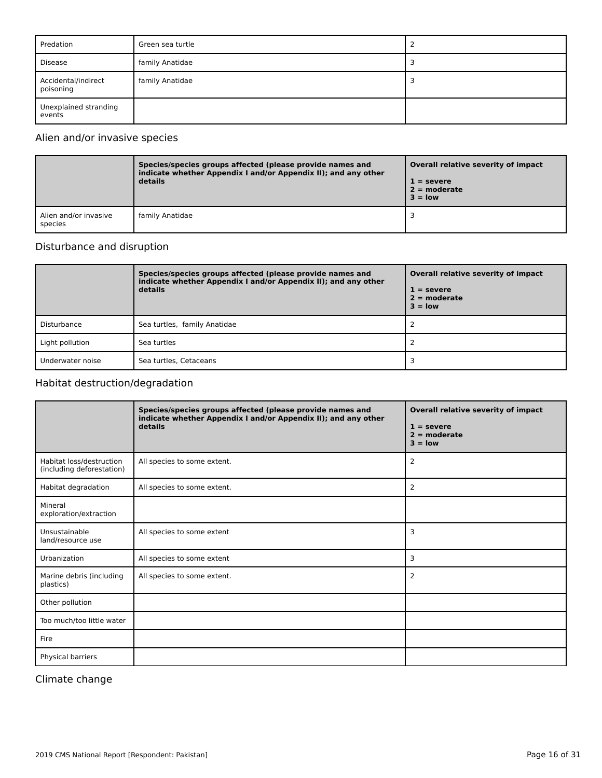| Predation                        | Green sea turtle | ∸ |
|----------------------------------|------------------|---|
| Disease                          | family Anatidae  |   |
| Accidental/indirect<br>poisoning | family Anatidae  |   |
| Unexplained stranding<br>events  |                  |   |

### Alien and/or invasive species

|                                  | Species/species groups affected (please provide names and<br>indicate whether Appendix I and/or Appendix II); and any other<br>details | Overall relative severity of impact<br>$1 =$ severe<br>$2 =$ moderate<br>$3 = low$ |
|----------------------------------|----------------------------------------------------------------------------------------------------------------------------------------|------------------------------------------------------------------------------------|
| Alien and/or invasive<br>species | family Anatidae                                                                                                                        |                                                                                    |

### Disturbance and disruption

|                  | Species/species groups affected (please provide names and<br>indicate whether Appendix I and/or Appendix II); and any other<br>details | Overall relative severity of impact<br>$1 =$ severe<br>$2 =$ moderate<br>$3 =$ low |
|------------------|----------------------------------------------------------------------------------------------------------------------------------------|------------------------------------------------------------------------------------|
| Disturbance      | Sea turtles, family Anatidae                                                                                                           |                                                                                    |
| Light pollution  | Sea turtles                                                                                                                            |                                                                                    |
| Underwater noise | Sea turtles, Cetaceans                                                                                                                 |                                                                                    |

#### Habitat destruction/degradation

|                                                       | Species/species groups affected (please provide names and<br>indicate whether Appendix I and/or Appendix II); and any other<br>details | Overall relative severity of impact<br>$1 =$ severe<br>$2 = moderate$<br>$3 =$ low |
|-------------------------------------------------------|----------------------------------------------------------------------------------------------------------------------------------------|------------------------------------------------------------------------------------|
| Habitat loss/destruction<br>(including deforestation) | All species to some extent.                                                                                                            | 2                                                                                  |
| Habitat degradation                                   | All species to some extent.                                                                                                            | $\overline{2}$                                                                     |
| Mineral<br>exploration/extraction                     |                                                                                                                                        |                                                                                    |
| Unsustainable<br>land/resource use                    | All species to some extent                                                                                                             | 3                                                                                  |
| Urbanization                                          | All species to some extent                                                                                                             | 3                                                                                  |
| Marine debris (including<br>plastics)                 | All species to some extent.                                                                                                            | 2                                                                                  |
| Other pollution                                       |                                                                                                                                        |                                                                                    |
| Too much/too little water                             |                                                                                                                                        |                                                                                    |
| Fire                                                  |                                                                                                                                        |                                                                                    |
| Physical barriers                                     |                                                                                                                                        |                                                                                    |

### Climate change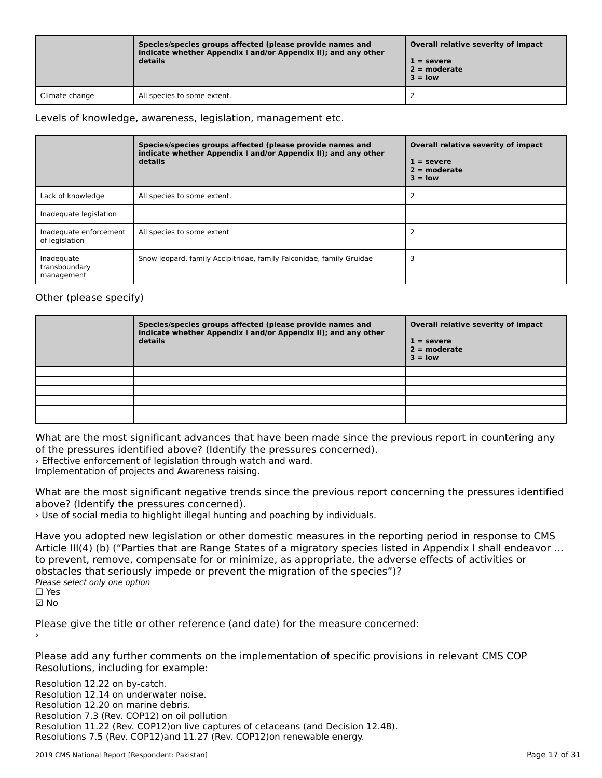|                | Species/species groups affected (please provide names and<br>indicate whether Appendix I and/or Appendix II); and any other<br>details | Overall relative severity of impact<br>$1 =$ severe<br>$2 =$ moderate<br>$3 =$ low |
|----------------|----------------------------------------------------------------------------------------------------------------------------------------|------------------------------------------------------------------------------------|
| Climate change | All species to some extent.                                                                                                            |                                                                                    |

#### Levels of knowledge, awareness, legislation, management etc.

|                                           | Species/species groups affected (please provide names and<br>indicate whether Appendix I and/or Appendix II); and any other<br>details | Overall relative severity of impact<br>$1 =$ severe<br>$2 =$ moderate<br>$3 =$ low |
|-------------------------------------------|----------------------------------------------------------------------------------------------------------------------------------------|------------------------------------------------------------------------------------|
| Lack of knowledge                         | All species to some extent.                                                                                                            |                                                                                    |
| Inadequate legislation                    |                                                                                                                                        |                                                                                    |
| Inadequate enforcement<br>of legislation  | All species to some extent                                                                                                             |                                                                                    |
| Inadequate<br>transboundary<br>management | Snow leopard, family Accipitridae, family Falconidae, family Gruidae                                                                   |                                                                                    |

### Other (please specify)

| Species/species groups affected (please provide names and<br>indicate whether Appendix I and/or Appendix II); and any other<br>details | Overall relative severity of impact<br>$1 =$ severe<br>$2 =$ moderate<br>$3 =$ low |
|----------------------------------------------------------------------------------------------------------------------------------------|------------------------------------------------------------------------------------|
|                                                                                                                                        |                                                                                    |
|                                                                                                                                        |                                                                                    |
|                                                                                                                                        |                                                                                    |
|                                                                                                                                        |                                                                                    |
|                                                                                                                                        |                                                                                    |

What are the most significant advances that have been made since the previous report in countering any of the pressures identified above? (Identify the pressures concerned).

› Effective enforcement of legislation through watch and ward.

**Influentation of projects and Awareness raising.**<br>Implementation of projects and Awareness raising.

What are the most significant negative trends since the previous report concerning the pressures identified above? (Identify the pressures concerned).

› Use of social media to highlight illegal hunting and poaching by individuals.

Have you adopted new legislation or other domestic measures in the reporting period in response to CMS Article III(4) (b) ("Parties that are Range States of a migratory species listed in Appendix I shall endeavor … Article m(4) (b) ("rarties that are narige states or a migratory species ilsted in Appendix I shall ende<br>to prevent, remove, compensate for or minimize, as appropriate, the adverse effects of activities or to prevent, remove, compensate for or minimize, as appropriate, the advertised of the species")? Please select only one option ☐ Yes☑ No

Please give the title or other reference (and date) for the measure concerned:

Please add any further comments on the implementation of specific provisions in relevant CMS COP Prease add any further comments of<br>Resolutions, including for example:

Resolution 12.22 on by-catch. Resolution 12.14 on underwater noise. Resolution 12.20 on marine debris. Resolution 7.3 (Rev. COP12) on oil pollution Resolution 11.22 (Rev. COP12)on live captures of cetaceans (and Decision 12.48). Resolutions 7.5 (Rev. COP12)and 11.27 (Rev. COP12)on renewable energy.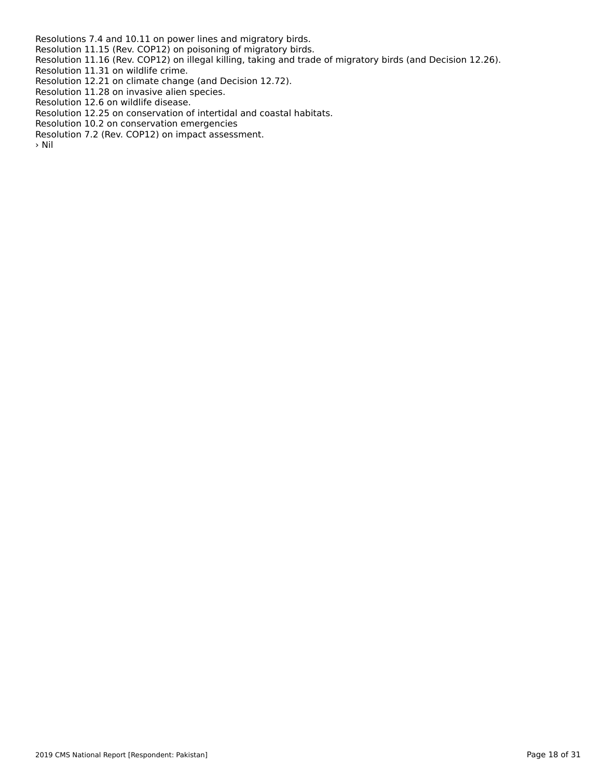Resolutions 7.4 and 10.11 on power lines and migratory birds. Resolution 11.15 (Rev. COP12) on poisoning of migratory birds.

 Resolution 11.16 (Rev. COP12) on illegal killing, taking and trade of migratory birds (and Decision 12.26). Resolution 11.31 on wildlife crime.

Resolution 11.31 on wildlife crime.<br>Resolution 12.21 on climate change (and Decision 12.72). Resolution 11.28 on invasive alien species.

Resolution 12.6 on wildlife disease.

Resolution 12.6 on wildlife disease.<br>Resolution 12.25 on conservation of intertidal and coastal habitats.

Resolution 10.2 on conservation emergencies

Nesolution 10.2 on conservation emergencies<br>Resolution 7.2 (Rev. COP12) on impact assessment.

 $>$  Nil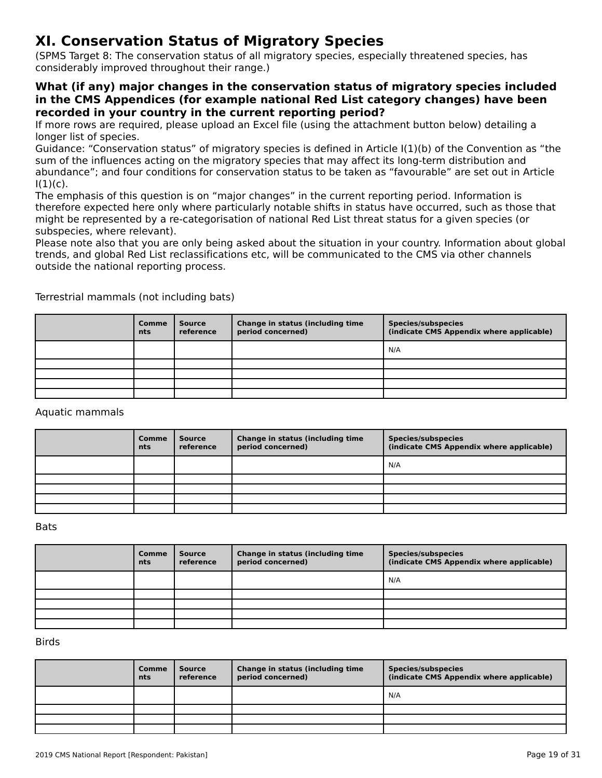# **XI. Conservation Status of Migratory Species**

(SPMS Target 8: The conservation status of all migratory species, especially threatened species, has considerably improved throughout their range.)

#### **What (if any) major changes in the conservation status of migratory species included in the CMS Appendices (for example national Red List category changes) have been recorded in your country in the current reporting period?**

If more rows are required, please upload an Excel file (using the attachment button below) detailing a<br>If more rows are required, please upload an Excel file (using the attachment button below) detailing a longer list of species.

fonger hat or species.<br>Guidance: "Conservation status" of migratory species is defined in Article I(1)(b) of the Convention as "the<br>sum of the influences action on the migratory species that may affect its long-term distri sum of the influences acting on the migratory species that may affect its long-term distribution and sum or the inhuences acting on the migratory species that may arrect its long-term distribution and<br>abundance"; and four conditions for conservation status to be taken as "favourable" are set out in Article<br>

ו, ו.<br>The emphasis of this question is on "major changes" in the current reporting period. Information is the emphasis of this question is on thajor changes. In the current reporting period: imomiation is<br>therefore expected here only where particularly notable shifts in status have occurred, such as those that might be represented by a re-categorisation of national Red List threat status for a given species (or subspecies, where relevant).

subspecies, where relevant).<br>Please note also that you are only being asked about the situation in your country. Information about global trends, and global Red List reclassifications etc, will be communicated to the CMS via other channels outside the national reporting process.

| <b>Comme</b><br>nts | <b>Source</b><br>reference | Change in status (including time<br>period concerned) | <b>Species/subspecies</b><br>(indicate CMS Appendix where applicable) |
|---------------------|----------------------------|-------------------------------------------------------|-----------------------------------------------------------------------|
|                     |                            |                                                       | N/A                                                                   |
|                     |                            |                                                       |                                                                       |
|                     |                            |                                                       |                                                                       |
|                     |                            |                                                       |                                                                       |
|                     |                            |                                                       |                                                                       |

Terrestrial mammals (not including bats)

#### Aquatic mammals

| Comme<br><b>nts</b> | Source<br>reference | Change in status (including time<br>period concerned) | Species/subspecies<br>(indicate CMS Appendix where applicable) |
|---------------------|---------------------|-------------------------------------------------------|----------------------------------------------------------------|
|                     |                     |                                                       | N/A                                                            |
|                     |                     |                                                       |                                                                |
|                     |                     |                                                       |                                                                |
|                     |                     |                                                       |                                                                |
|                     |                     |                                                       |                                                                |

Bats

| Comme<br>nts | <b>Source</b><br>reference | Change in status (including time<br>period concerned) | <b>Species/subspecies</b><br>(indicate CMS Appendix where applicable) |
|--------------|----------------------------|-------------------------------------------------------|-----------------------------------------------------------------------|
|              |                            |                                                       | N/A                                                                   |
|              |                            |                                                       |                                                                       |
|              |                            |                                                       |                                                                       |
|              |                            |                                                       |                                                                       |
|              |                            |                                                       |                                                                       |

#### Birds

| Comme<br>nts | Source<br>reference | Change in status (including time<br>period concerned) | <b>Species/subspecies</b><br>(indicate CMS Appendix where applicable) |
|--------------|---------------------|-------------------------------------------------------|-----------------------------------------------------------------------|
|              |                     |                                                       | N/A                                                                   |
|              |                     |                                                       |                                                                       |
|              |                     |                                                       |                                                                       |
|              |                     |                                                       |                                                                       |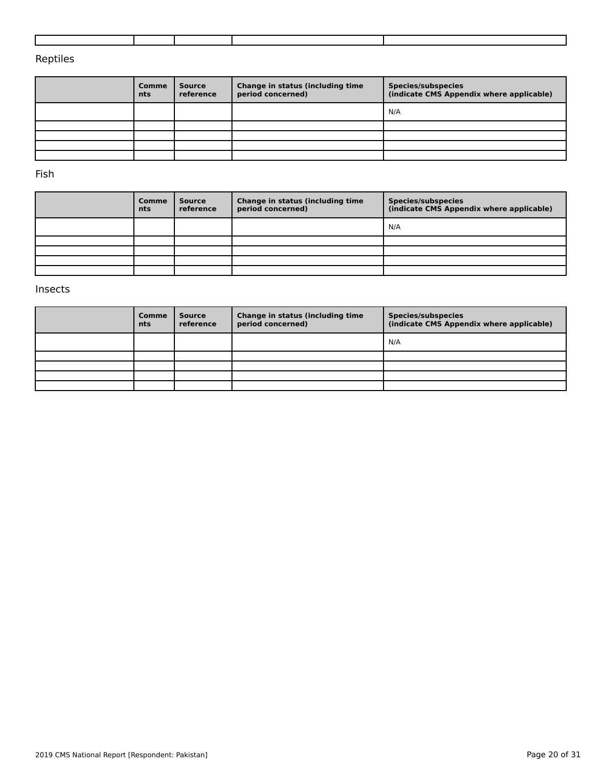### Reptiles

| Comme<br>nts | <b>Source</b><br>reference | Change in status (including time<br>period concerned) | <b>Species/subspecies</b><br>(indicate CMS Appendix where applicable) |
|--------------|----------------------------|-------------------------------------------------------|-----------------------------------------------------------------------|
|              |                            |                                                       | N/A                                                                   |
|              |                            |                                                       |                                                                       |
|              |                            |                                                       |                                                                       |
|              |                            |                                                       |                                                                       |
|              |                            |                                                       |                                                                       |

Fish

| Comme<br>nts | <b>Source</b><br>reference | Change in status (including time<br>period concerned) | <b>Species/subspecies</b><br>(indicate CMS Appendix where applicable) |
|--------------|----------------------------|-------------------------------------------------------|-----------------------------------------------------------------------|
|              |                            |                                                       | N/A                                                                   |
|              |                            |                                                       |                                                                       |
|              |                            |                                                       |                                                                       |
|              |                            |                                                       |                                                                       |
|              |                            |                                                       |                                                                       |

#### Insects

| <b>Comme</b><br><b>nts</b> | Source<br>reference | Change in status (including time<br>period concerned) | Species/subspecies<br>(indicate CMS Appendix where applicable) |
|----------------------------|---------------------|-------------------------------------------------------|----------------------------------------------------------------|
|                            |                     |                                                       | N/A                                                            |
|                            |                     |                                                       |                                                                |
|                            |                     |                                                       |                                                                |
|                            |                     |                                                       |                                                                |
|                            |                     |                                                       |                                                                |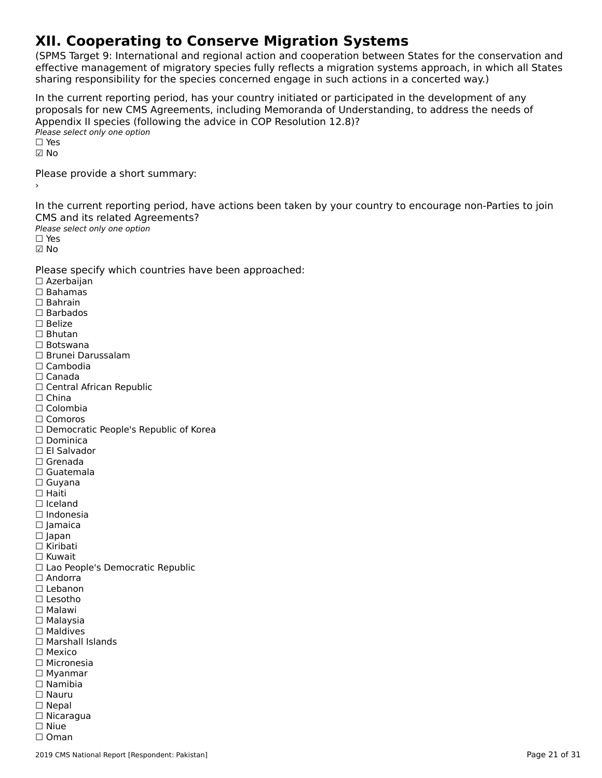# **XII. Cooperating to Conserve Migration Systems**

(SPMS Target 9: International and regional action and cooperation between States for the conservation and effective management of migratory species fully reflects a migration systems approach, in which all States enective management of migratory species runy renects a migration systems approach, in w<br>sharing responsibility for the species concerned engage in such actions in a concerted way.)

In the current reporting period, has your country initiated or participated in the development of any In the current reporting period, has your country initiated or participated in the development or any<br>proposals for new CMS Agreements, including Memoranda of Understanding, to address the needs of ∩ppendix in species (form)<br>Please select only one option  $\Box$  Yes ☑ NoPlease provide a short summary:›In the current reporting period, have actions been taken by your country to encourage non-Parties to join CMS and its related Agreements?Please select only one option ☐ Yes☑ No Please specify which countries have been approached: ☐ Azerbaijan ☐ Bahamas ☐ Bahrain☐ Barbados □ Barba<sub>'</sub><br>□ Belize ☐ Bhutan☐ Botswana ☐ Brunei Darussalam☐ Cambodia☐ Canada□ Canada<br>□ Central African Republic □ China<br>□ Colombia ☐ Comoros□ Comoros<br>□ Democratic People's Republic of Korea □ Dominica<br>□ El Salvador ☐ Grenada☐ Guatemala☐ Guyana ☐ Haiti☐ Iceland☐ Indonesia☐ Jamaica ☐ Japan □ Japan<br>□ Kiribati ☐ Kuwait □ Rawait<br>□ Lao People's Democratic Republic<br>□ Andorra □ Andorra<br>□ Lebanon ☐ Lesotho ☐ Malawi☐ Malaysia□ Maldives ☐ Marshall Islands☐ Mexico ☐ Micronesia ☐ Myanmar ☐ Namibia☐ Nauru□ Nauru<br>□ Nepal ☐ Nicaragua☐ Niue☐ Oman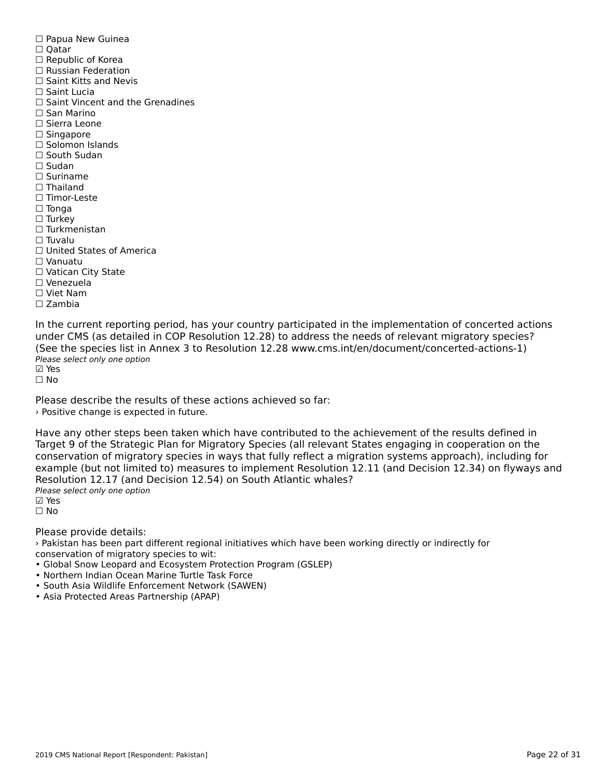☐ Papua New Guinea □ rapua<br>□ Qatar □ Qatar<br>□ Republic of Korea ☐ Russian Federation□ Russian Federation<br>□ Saint Kitts and Nevis ☐ Saint Lucia□ Saint Vincent and the Grenadines ☐ San Marino ☐ Sierra Leone ☐ Singapore □ Singapore<br>□ Solomon Islands □ South Sudan ☐ Sudan ☐ Suriname□ Thailand ☐ Timor-Leste☐ Tonga ☐ Turkey ☐ Turkmenistan $\Box$  Tuvalu ☐ United States of America☐ Vanuatu□ vanuatu<br>□ Vatican City State ☐ Venezuela☐ Viet Nam☐ Zambia

In the current reporting period, has your country participated in the implementation of concerted actions<br>under CMS (as detailed in COP Resolution 12.29) to address the needs of relevant migratory species? (See the species list in Annex 3 to Resolution 12.28 www.cms.int/en/document/concerted-actions-1) Please select only one option ☑ Yes

☐ No

Please describe the results of these actions achieved so far:› Positive change is expected in future.

Have any other steps been taken which have contributed to the achievement of the results defined in Target 9 of the Strategic Plan for Migratory Species (all relevant States engaging in cooperation on the rarget 9 of the Strategic Fram for migratory Species (an relevant States engaging in cooperation on the<br>conservation of migratory species in ways that fully reflect a migration systems approach), including for example (but not limited to) measures to implement Resolution 12.11 (and Decision 12.34) on flyways and Resolution 12.17 (and Decision 12.54) on South Atlantic whales? Nesolation 12.17 (and B<br>Please select only one option

⊠ Yes

☐ No

Please provide details:

› Pakistan has been part different regional initiatives which have been working directly or indirectly for conservation of migratory species to wit:

- Global Snow Leopard and Ecosystem Protection Program (GSLEP)
- Northern Indian Ocean Marine Turtle Task Force
- Northern mulari Ocean Marine Turtle Task Force<br>• South Asia Wildlife Enforcement Network (SAWEN)
- South Asia Wildlife Embreement Network<br>• Asia Protected Areas Partnership (APAP)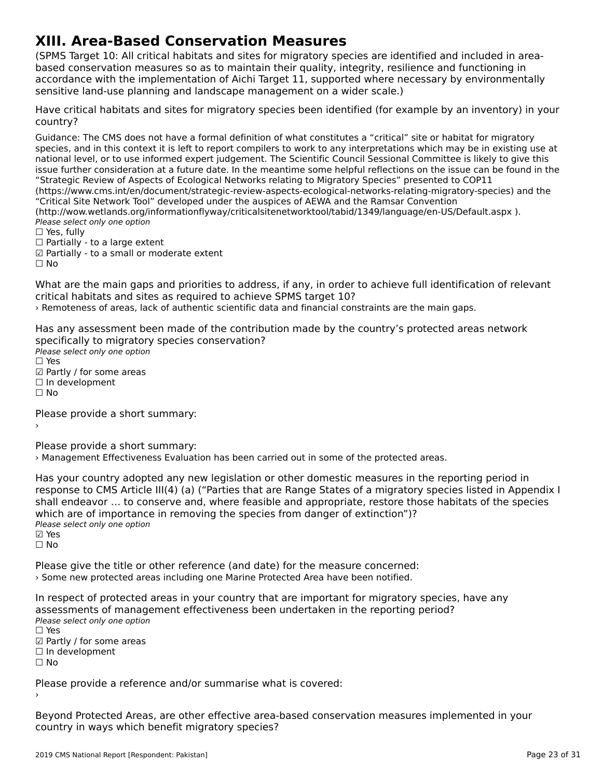# **XIII. Area-Based Conservation Measures**

(SPMS Target 10: All critical habitats and sites for migratory species are identified and included in area $b_{\rm B}$  and a set  $c_{\rm B}$  as the measures so as the main their quality,  $\frac{1}{2}$  and function  $\frac{1}{2}$  and function  $\frac{1}{2}$  in  $\frac{1}{2}$ based conservation measures so as to maintain their quality, integrity, resilience and functioning in based conservation measures so as to maintain their quality, integrity, resilience and runctioning in<br>accordance with the implementation of Aichi Target 11, supported where necessary by environmentally accordance with the implementation or Alchi Target 11, supported where he<br>sensitive land-use planning and landscape management on a wider scale.)

Have critical habitats and sites for migratory species been identified (for example by an inventory) in your country?

Guidance: The CMS does not have a formal definition of what constitutes a "critical" site or habitat for migratoryspecies, and in this context it is left to report compilers to work to any interpretations which may be in existing use at national level, or to use informed expert judgement. The Scientific Council Sessional Committee is likely to give this issue further consideration at a future date. In the meantime some helpful reflections on the issue can be found in the "Strategic Review of Aspects of Ecological Networks relating to Migratory Species" presented to COP11 (https://www.cms.int/en/document/strategic-review-aspects-ecological-networks-relating-migratory-species) and the (https://www.critis.int/en/document/strategic-review-aspects-ecological-hetworks-relating-inigratory-species) a<br>"Critical Site Network Tool" developed under the auspices of AEWA and the Ramsar Convention (http://wow.wetlands.org/informationflyway/criticalsitenetworktool/tabid/1349/language/en-US/Default.aspx). Please select only one option ☐ Yes, fully $\Box$  Yes, fully

□ Tes, Tuny<br>□ Partially - to a large extent

☑ Partially - to a small or moderate extent

☐ No

What are the main gaps and priorities to address, if any, in order to achieve full identification of relevant what are the main gaps and priorities to address, if any, in order<br>critical habitats and sites as required to achieve SPMS target 10?

› Remoteness of areas, lack of authentic scientific data and financial constraints are the main gaps.

Has any assessment been made of the contribution made by the country's protected areas network rias any assessment been made or the contribi<br>specifically to migratory species conservation? Speemeany to migrator<sub>3</sub><br>Please select only one option  $\square$  Yes ☑ Partly / for some areas⊡ raitiy / ior soint<br>□ In development ☐ No

Please provide a short summary:

›

Please provide a short summary:

› Management Effectiveness Evaluation has been carried out in some of the protected areas.

Has your country adopted any new legislation or other domestic measures in the reporting period in<br>response to CMS Article III(4) (a) ("Parties that are Pappe States of a migratory species listed in Appendix I response to CMS Article III(4) (a) ("Parties that are Range States of a migratory species listed in Appendix I shall endeavor … to conserve and, where feasible and appropriate, restore those habitats of the species shall endeavor ... to conserve and, where reasible and appropriate, restore the<br>which are of importance in removing the species from danger of extinction")? winch are or importance<br>Please select only one option ☑ Yes

☐ No

Please give the title or other reference (and date) for the measure concerned: › Some new protected areas including one Marine Protected Area have been notified.

In respect of protected areas in your country that are important for migratory species, have any arriespect or protected areas in your country that are important for migratory species<br>assessments of management effectiveness been undertaken in the reporting period? assessments of manage<br>Please select only one option ☐ Yes

□ ies<br>☑ Partly / for some areas

☐ In development

☐ No

Please provide a reference and/or summarise what is covered:

Beyond Protected Areas, are other effective area-based conservation measures implemented in your country in ways which benefit migratory species?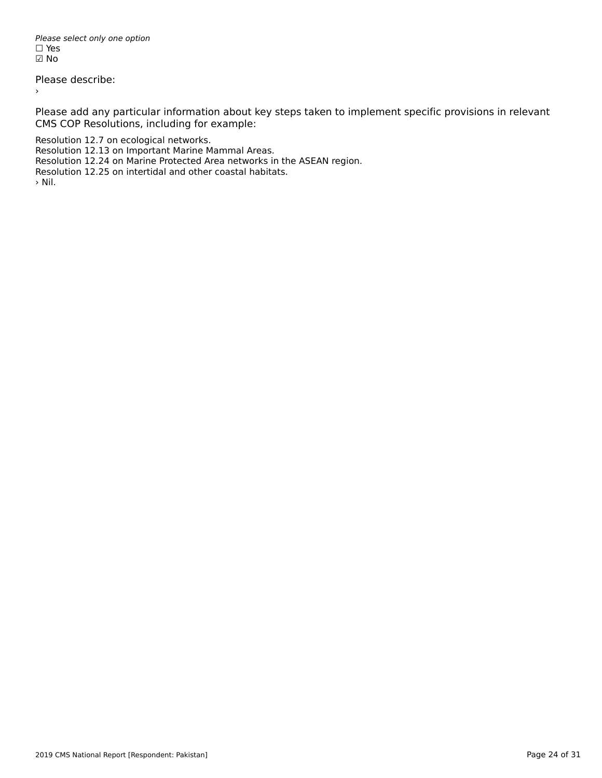Please select only one option *riease*<br>□ Yes ☑ No

Please describe:

Please add any particular information about key steps taken to implement specific provisions in relevant CMS COP Resolutions, including for example:

Resolution 12.7 on ecological networks.

Resolution 12.13 on Important Marine Mammal Areas.

Resolution 12.24 on Marine Protected Area networks in the ASEAN region.

Resolution 12.24 on manne Frotected Area hetworks in the<br>Resolution 12.25 on intertidal and other coastal habitats.

›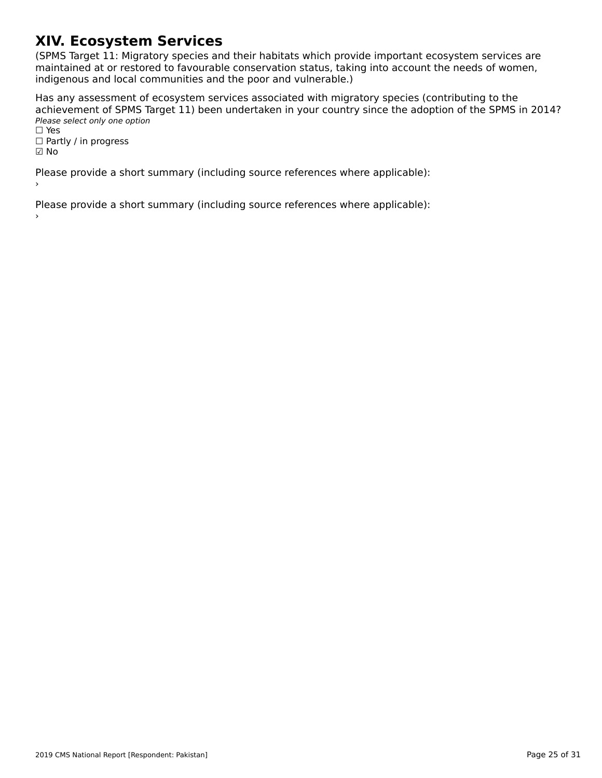# **XIV. Ecosystem Services**

(SPMS Target 11: Migratory species and their habitats which provide important ecosystem services are ה השומר ומודע האודט, ומודע האודט, ומודע האודע ומודע האודע ומודע האודע ומודע האודע ומודע האודע ומודע האודע וואס<br>,maintained at or restored to favourable conservation status, taking into account the needs of women indification at of restored to ravourable conservation status, taking<br>indigenous and local communities and the poor and vulnerable.)

Has any assessment of ecosystem services associated with migratory species (contributing to the achievement of SPMS Target 11) been undertaken in your country since the adoption of the SPMS in 2014? active verticite of 51 145 14<br>Please select only one option

rıease<br>□ Yes □ ies<br>□ Partly / in progress

☑ No

Please provide a short summary (including source references where applicable):

Please provide a short summary (including source references where applicable):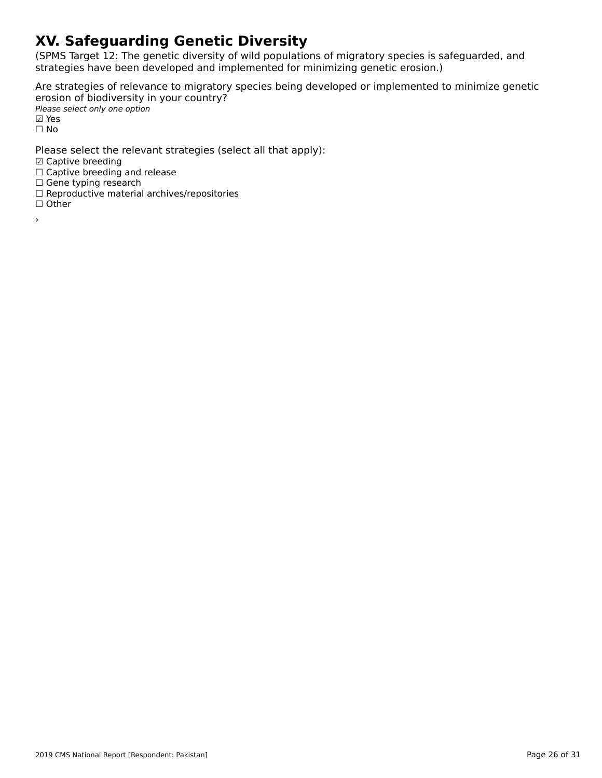# **XV. Safeguarding Genetic Diversity**

(SPMS Target 12: The genetic diversity of wild populations of migratory species is safeguarded, and strategies have been developed and implemented for minimizing genetic erosion.)

Are strategies of relevance to migratory species being developed or implemented to minimize genetic erosion of biodiversity in your country? ⊂rosion of biodiversity<br>Please select only one option

⊠ Yes ☐ No

Please select the relevant strategies (select all that apply):

☑ Captive breeding

□ Captive breeding<br>□ Captive breeding and release

□ Captive breeding and<br>□ Gene typing research

□ Gene typing research<br>□ Reproductive material archives/repositories

☐ Other

›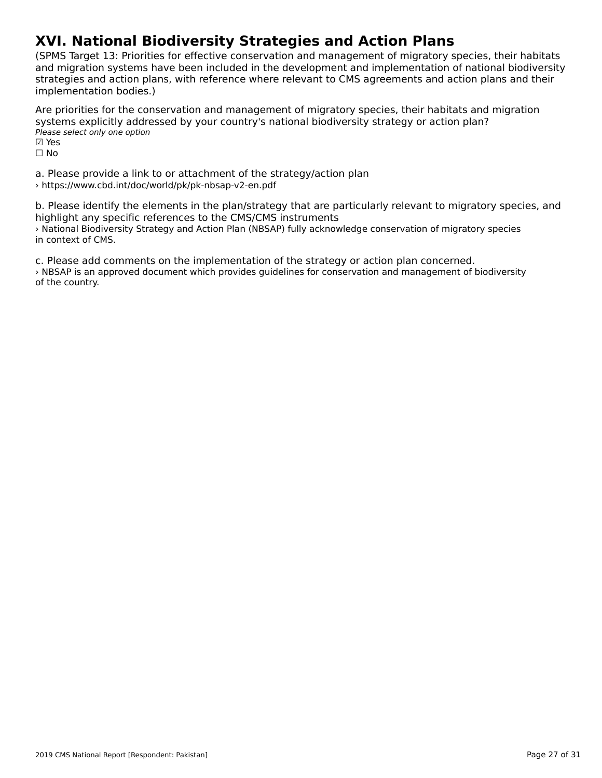# **XVI. National Biodiversity Strategies and Action Plans**

(SPMS Target 13: Priorities for effective conservation and management of migratory species, their habitats and migration systems have been included in the development and implementation of national biodiversity and imgradon systems have been included in the development and implementation or national biodiversi<br>strategies and action plans, with reference where relevant to CMS agreements and action plans and their implementation bodies.)

Are priorities for the conservation and management of migratory species, their habitats and migration systems explicitly addressed by your country's national biodiversity strategy or action plan? Please select only one option ☑ Yes⊠ Yes

☐ No

a. Please provide a link to or attachment of the strategy/action plan › https://www.cbd.int/doc/world/pk/pk-nbsap-v2-en.pdf

b. Please identify the elements in the plan/strategy that are particularly relevant to migratory species, and highlight any specific references to the CMS/CMS instruments› National Biodiversity Strategy and Action Plan (NBSAP) fully acknowledge conservation of migratory species in context of CMS.

c. Please add comments on the implementation of the strategy or action plan concerned. › NBSAP is an approved document which provides guidelines for conservation and management of biodiversity s induct is an a<br>of the country.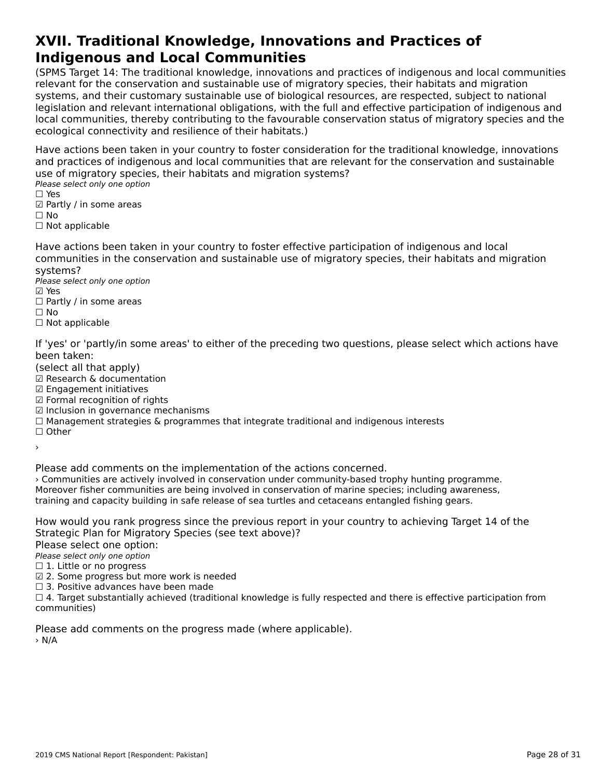#### **XVII. Traditional Knowledge, Innovations and Practices of Indigenous and Local CommunitiesIndigenous and Local Communities**

(SPMS Target 14: The traditional knowledge, innovations and practices of indigenous and local communities relevant for the conservation and sustainable use of migratory species, their habitats and migration<br>relevant for the conservation and sustainable use of migratory species, their habitats and migration relevant for the conservation and sustainable use of migratory species, their nabitats and migration<br>systems, and their customary sustainable use of biological resources, are respected, subject to national systems, and their customary sustainable use or biological resources, are respected, subject to hational<br>legislation and relevant international obligations, with the full and effective participation of indigenous and<br>legis local connectivities, thereby continuumy to the layou and conservation status of migratory species and the ecological connectivity and resilience of their habitats.)

Have actions been taken in your country to foster consideration for the traditional knowledge, innovations and practices of indigenous and local communities that are relevant for the conservation and sustainable use of migratory species, their habitats and migration systems?

ase of migratory specie<br>Please select only one option

- □ ies<br>☑ Partly / in some areas
- ⊠ rai<br>□ No
- □ Not applicable

Have actions been taken in your country to foster effective participation of indigenous and local communities in the conservation and sustainable use of migratory species, their habitats and migration systems?systems?

Please select only one option ☑ Yes

- ⊠ Yes ⊠ाes<br>□ Partly / in some areas
- 
- □ Not applicable

If 'yes' or 'partly/in some areas' to either of the preceding two questions, please select which actions have been taken:

been taken.<br>(select all that apply)

(select all that apply)<br>☑ Research & documentation

- ☑ Research & documenta<br>☑ Engagement initiatives
- ☑ Formal recognition of rights
- ☑ Inclusion in governance mechanisms
- ☐ Management strategies & programmes that integrate traditional and indigenous interests
- ☐ Other

›

Please add comments on the implementation of the actions concerned.

› Communities are actively involved in conservation under community-based trophy hunting programme. Moreover fisher communities are being involved in conservation of marine species; including awareness, training and capacity building in safe release of sea turtles and cetaceans entangled fishing gears.

How would you rank progress since the previous report in your country to achieving Target 14 of the Strategic Plan for Migratory Species (see text above)?

Please select one option:

∩ease select one option<br>Please select only one option

 $\Box$  1. Little or no progress

☑ 2. Some progress but more work is needed

⊡ 2. Some progress but more work is ne<br>□ 3. Positive advances have been made

 $\Box$  3. Fositive advances have been made<br> $\Box$  4. Target substantially achieved (traditional knowledge is fully respected and there is effective participation from

Please add comments on the progress made (where applicable). > N/A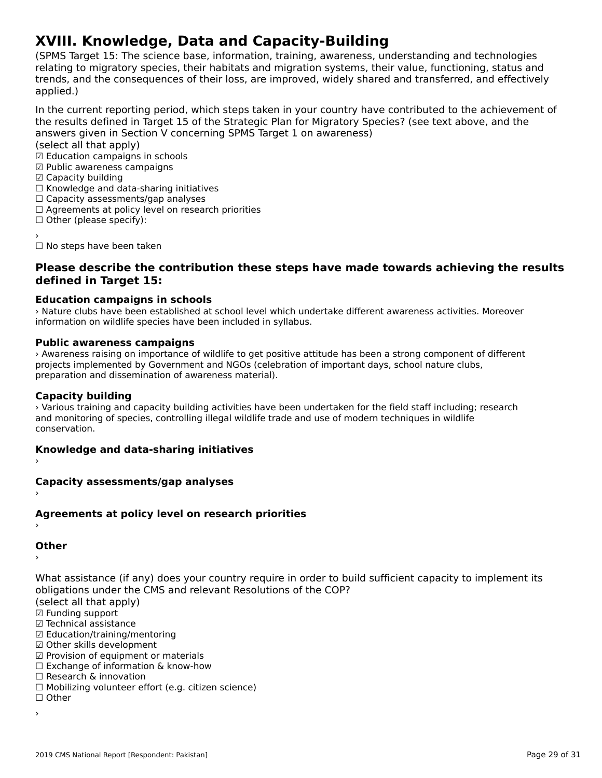# **XVIII. Knowledge, Data and Capacity-Building**

(SPMS Target 15: The science base, information, training, awareness, understanding and technologies ודה ומו הוירוס, anyet נוירוס, וויט service base, ווויטוווומנוסה, differe the screams, their value status and migration systems, their value, functioning, status and relating to migratory species, their habitats and migration systems, their value, functioning, status and<br>trends, and the consequences of their loss, are improved, widely shared and transferred, and effectively applied.)

In the current reporting period, which steps taken in your country have contributed to the achievement of answers given in Section V concerning Space in Section V concerning Space Section V concerning Space in the state of the Section V concerning Space in Section V concerning Space in Section V concerning Space in Section V c answers given in Section V concerning SPMS Target 1 on awareness)

(select all that apply)

☑ Education campaigns in schools

- ☑ Public awareness campaigns ☑ Capacity building
- ☑ Capacity building
- ⊠ Capacity bununig<br>□ Knowledge and data-sharing initiatives
- □ Knowledge and data-sharing initiativ<br>□ Capacity assessments/gap analyses
- □ Capacity assessments/yap anaryses<br>□ Agreements at policy level on research priorities
- □ Agreements at policy is<br>□ Other (please specify):
- 

☐ No steps have been taken

#### **Please describe the contribution these steps have made towards achieving the results defined in Target 15:**

### **Education campaigns in schools**

› Nature clubs have been established at school level which undertake different awareness activities. Moreover information on wildlife species have been included in syllabus.

#### **Public awareness campaigns**

› Awareness raising on importance of wildlife to get positive attitude has been a strong component of different projects implemented by Government and NGOs (celebration of important days, school nature clubs, projects implemented by Government and NOOS (Celet<br>preparation and dissemination of awareness material).

#### **Capacity building**

› Various training and capacity building activities have been undertaken for the field staff including; researchand monitoring of species, controlling illegal wildlife trade and use of modern techniques in wildlife conservation.

## **Knowledge and data-sharing initiatives** ›

## **Capacity assessments/gap analyses** ›

## **Agreements at policy level on research priorities** ›

#### **Other**

›

What assistance (if any) does your country require in order to build sufficient capacity to implement its<br>shlipations under the CMS and relevant Resolutions of the COP?

opligations under the<br>(select all that apply)

☑ Funding support

☑ Technical assistance

⊠ Technical assistance<br>☑ Education/training/mentoring

☑ Other skills development

☑ Provision of equipment or materials □ Frovision of equipment of materials<br>□ Exchange of information & know-how

☐ Research & innovation

☐ Mobilizing volunteer effort (e.g. citizen science)

☐ Other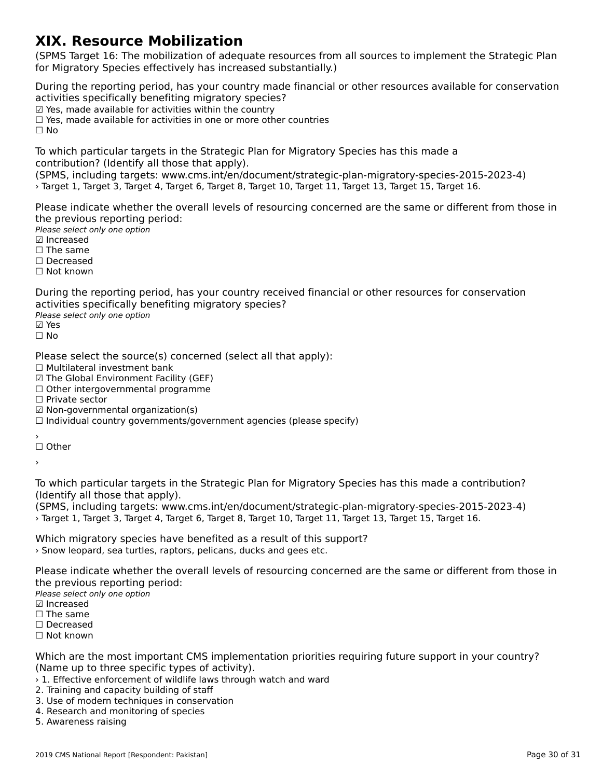### **XIX. Resource Mobilization**

(SPMS Target 16: The mobilization of adequate resources from all sources to implement the Strategic Plan for Migratory Species effectively has increased substantially.)for Migratory Species effectively has increased substantially.)

During the reporting period, has your country made financial or other resources available for conservation activities specifically benefiting migratory species? activities specifically benefiting imgratory specie<br>☑ Yes, made available for activities within the country ⊠ Tes, made available for activities within the country<br>□ Yes, made available for activities in one or more other countries

☐ No

To which particular targets in the Strategic Plan for Migratory Species has this made a

(SPMS, including targets: www.cms.int/en/document/strategic-plan-migratory-species-2015-2023-4) › Target 1, Target 3, Target 4, Target 6, Target 8, Target 10, Target 11, Target 13, Target 15, Target 16.

Please indicate whether the overall levels of resourcing concerned are the same or different from those in the previous reporting period:

Please select only one option ☑ Increased

**☑** Increased

**□ The same** 

☐ Decreased

☐ Not known

During the reporting period, has your country received financial or other resources for conservation activities specifically benefiting migratory species?

αਦਰ victos spectricany se<br>Please select only one option

☐ No

Please select the source(s) concerned (select all that apply):

⊓ease select the source(s) of<br>□ Multilateral investment bank

☑ The Global Environment Facility (GEF)

⊠ The Global Environment Facility (GEF)<br>□ Other intergovernmental programme

☐ Private sector

□ Titvate sector<br>☑ Non-governmental organization(s)

⊠ Non-governmentar organization(s)<br>□ Individual country governments/government agencies (please specify)

′<br>□ Other

›

To which particular targets in the Strategic Plan for Migratory Species has this made a contribution?

(SPMS, including targets: www.cms.int/en/document/strategic-plan-migratory-species-2015-2023-4) › Target 1, Target 3, Target 4, Target 6, Target 8, Target 10, Target 11, Target 13, Target 15, Target 16.> Target 1, Target 3, Target 4, Target 6, Target 8, Target 10, Target 11, Target 13, Target 15, Target 16.

Which migratory species have benefited as a result of this support? › Snow leopard, sea turtles, raptors, pelicans, ducks and gees etc.

Please indicate whether the overall levels of resourcing concerned are the same or different from those in the previous reporting period:

Please select only one option ☑ Increased

**☑** Increased

□ The same

☐ Decreased ☐ Not known

Which are the most important CMS implementation priorities requiring future support in your country? (Name up to three specific types of activity).

› 1. Effective enforcement of wildlife laws through watch and ward

- 2. The curve embreshight of whalle law<br>2. Training and capacity building of staff
- 2. Halling and capacity building of start<br>3. Use of modern techniques in conservation
- 4. Research and monitoring of species

4. Research and mon<br>5. Awareness raising